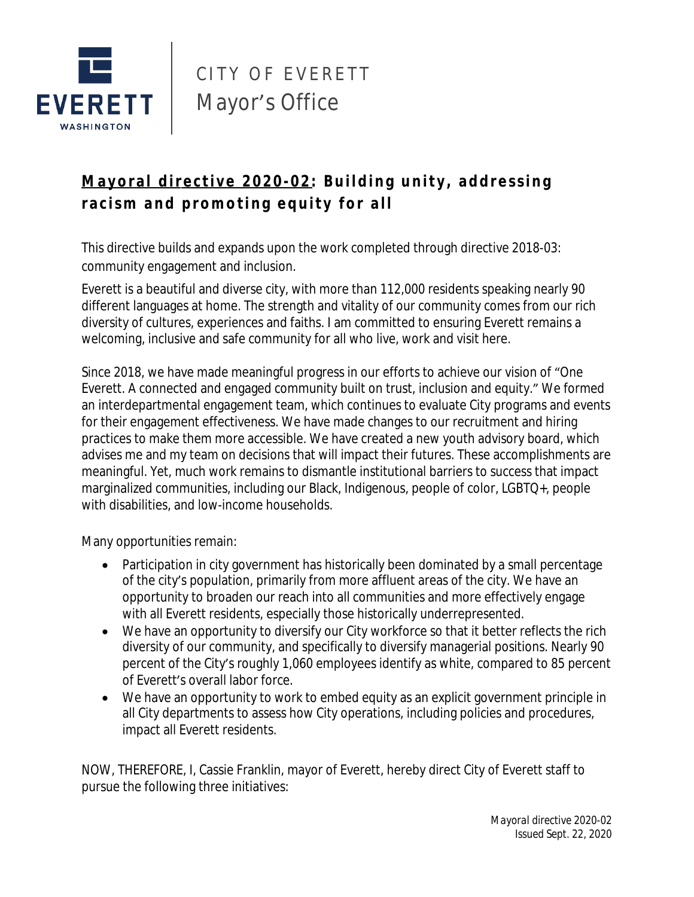

## CITY OF EVERETT Mayor's Office

## Mayoral directive 2020-02: Building unity, addressing racism and promoting equity for all

This directive builds and expands upon the work completed through directive 2018-03: community engagement and inclusion.

Everett is a beautiful and diverse city, with more than 112,000 residents speaking nearly 90 different languages at home. The strength and vitality of our community comes from our rich diversity of cultures, experiences and faiths. I am committed to ensuring Everett remains a welcoming, inclusive and safe community for all who live, work and visit here.

Since 2018, we have made meaningful progress in our efforts to achieve our vision of "One Everett. A connected and engaged community built on trust, inclusion and equity." We formed an interdepartmental engagement team, which continues to evaluate City programs and events for their engagement effectiveness. We have made changes to our recruitment and hiring practices to make them more accessible. We have created a new youth advisory board, which advises me and my team on decisions that will impact their futures. These accomplishments are meaningful. Yet, much work remains to dismantle institutional barriers to success that impact marginalized communities, including our Black, Indigenous, people of color, LGBTQ+, people with disabilities, and low-income households.

Many opportunities remain:

- Participation in city government has historically been dominated by a small percentage of the city's population, primarily from more affluent areas of the city. We have an opportunity to broaden our reach into all communities and more effectively engage with all Everett residents, especially those historically underrepresented.
- We have an opportunity to diversify our City workforce so that it better reflects the rich diversity of our community, and specifically to diversify managerial positions. Nearly 90 percent of the City's roughly 1,060 employees identify as white, compared to 85 percent of Everett's overall labor force.
- We have an opportunity to work to embed equity as an explicit government principle in all City departments to assess how City operations, including policies and procedures, impact all Everett residents.

NOW, THEREFORE, I, Cassie Franklin, mayor of Everett, hereby direct City of Everett staff to pursue the following three initiatives: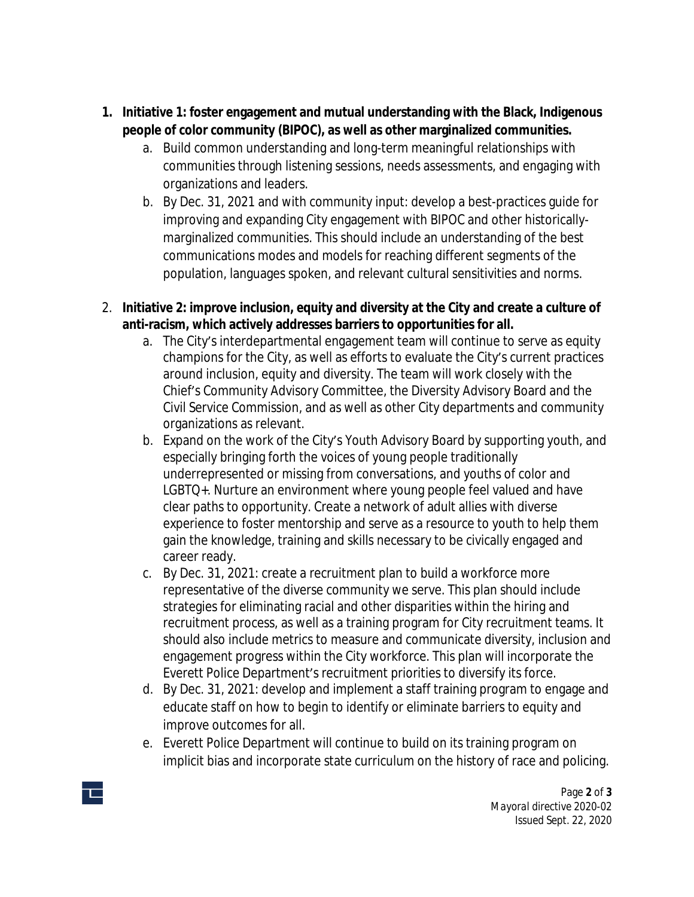- **1. Initiative 1: foster engagement and mutual understanding with the Black, Indigenous people of color community (BIPOC), as well as other marginalized communities.**
	- a. Build common understanding and long-term meaningful relationships with communities through listening sessions, needs assessments, and engaging with organizations and leaders.
	- b. By Dec. 31, 2021 and with community input: develop a best-practices guide for improving and expanding City engagement with BIPOC and other historicallymarginalized communities. This should include an understanding of the best communications modes and models for reaching different segments of the population, languages spoken, and relevant cultural sensitivities and norms.
- 2. **Initiative 2: improve inclusion, equity and diversity at the City and create a culture of anti-racism, which actively addresses barriers to opportunities for all.** 
	- a. The City's interdepartmental engagement team will continue to serve as equity champions for the City, as well as efforts to evaluate the City's current practices around inclusion, equity and diversity. The team will work closely with the Chief's Community Advisory Committee, the Diversity Advisory Board and the Civil Service Commission, and as well as other City departments and community organizations as relevant.
	- b. Expand on the work of the City's Youth Advisory Board by supporting youth, and especially bringing forth the voices of young people traditionally underrepresented or missing from conversations, and youths of color and LGBTQ+. Nurture an environment where young people feel valued and have clear paths to opportunity. Create a network of adult allies with diverse experience to foster mentorship and serve as a resource to youth to help them gain the knowledge, training and skills necessary to be civically engaged and career ready.
	- c. By Dec. 31, 2021: create a recruitment plan to build a workforce more representative of the diverse community we serve. This plan should include strategies for eliminating racial and other disparities within the hiring and recruitment process, as well as a training program for City recruitment teams. It should also include metrics to measure and communicate diversity, inclusion and engagement progress within the City workforce. This plan will incorporate the Everett Police Department's recruitment priorities to diversify its force.
	- d. By Dec. 31, 2021: develop and implement a staff training program to engage and educate staff on how to begin to identify or eliminate barriers to equity and improve outcomes for all.
	- e. Everett Police Department will continue to build on its training program on implicit bias and incorporate state curriculum on the history of race and policing.